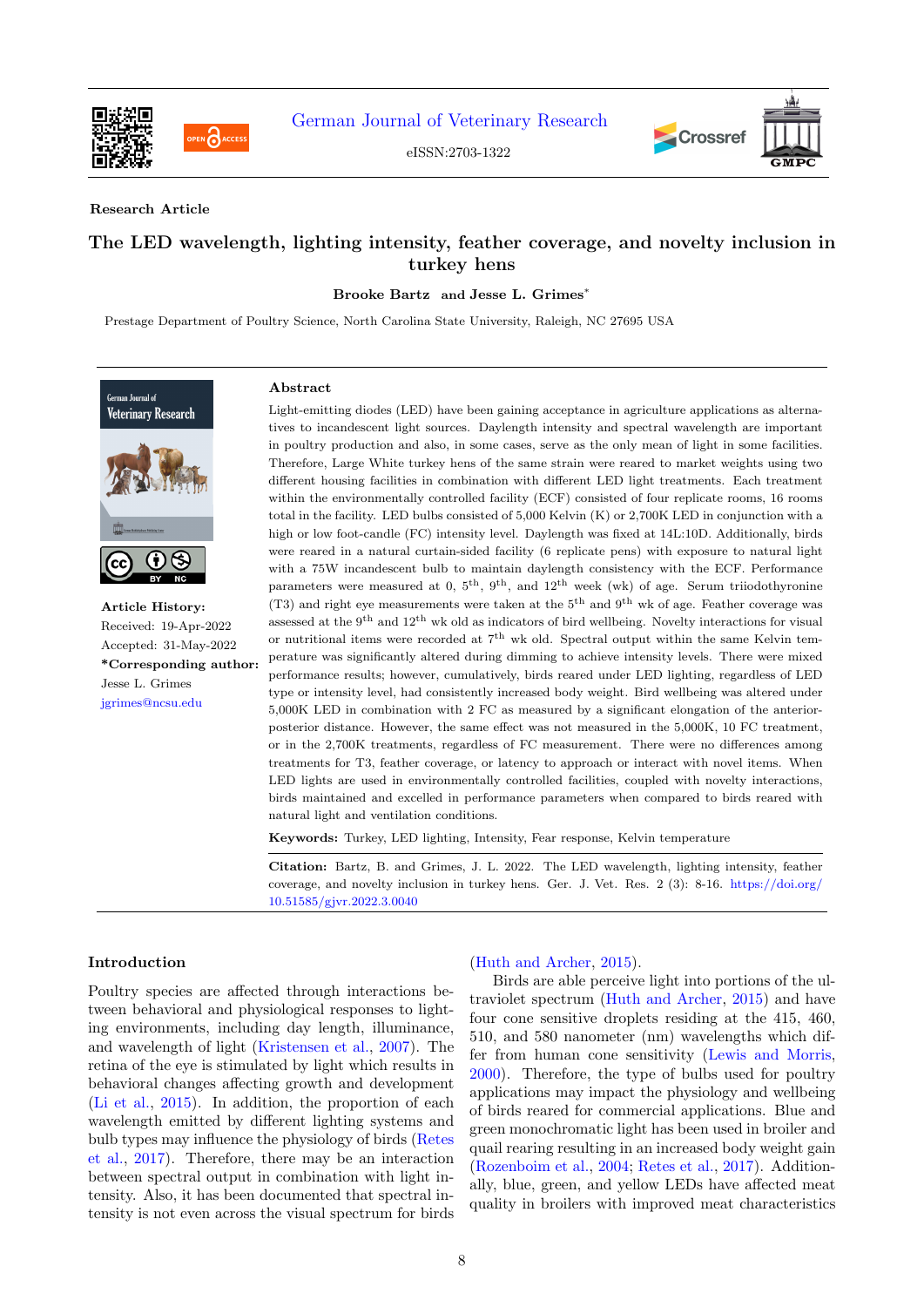

PEN CACCES

[German Journal of Veterinary Research](https://gmpc-akademie.de/journals/gjvr)

eISSN:2703-1322





### Research Article

# The LED wavelength, lighting intensity, feather coverage, and novelty inclusion in turkey hens

Brooke Bartz and Jesse L. Grimes<sup>\*</sup>

Prestage Department of Poultry Science, North Carolina State University, Raleigh, NC 27695 USA



Article History: Received: 19-Apr-2022 Accepted: 31-May-2022 \*Corresponding author: Jesse L. Grimes [jgrimes@ncsu.edu](mailto:jgrimes@ncsu.edu)

#### Abstract

Light-emitting diodes (LED) have been gaining acceptance in agriculture applications as alternatives to incandescent light sources. Daylength intensity and spectral wavelength are important in poultry production and also, in some cases, serve as the only mean of light in some facilities. Therefore, Large White turkey hens of the same strain were reared to market weights using two different housing facilities in combination with different LED light treatments. Each treatment within the environmentally controlled facility (ECF) consisted of four replicate rooms, 16 rooms total in the facility. LED bulbs consisted of 5,000 Kelvin (K) or 2,700K LED in conjunction with a high or low foot-candle (FC) intensity level. Daylength was fixed at 14L:10D. Additionally, birds were reared in a natural curtain-sided facility (6 replicate pens) with exposure to natural light with a 75W incandescent bulb to maintain daylength consistency with the ECF. Performance parameters were measured at 0,  $5<sup>th</sup>$ ,  $9<sup>th</sup>$ , and  $12<sup>th</sup>$  week (wk) of age. Serum triiodothyronine (T3) and right eye measurements were taken at the 5th and 9th wk of age. Feather coverage was assessed at the 9th and 12th wk old as indicators of bird wellbeing. Novelty interactions for visual or nutritional items were recorded at  $7<sup>th</sup>$  wk old. Spectral output within the same Kelvin temperature was significantly altered during dimming to achieve intensity levels. There were mixed performance results; however, cumulatively, birds reared under LED lighting, regardless of LED type or intensity level, had consistently increased body weight. Bird wellbeing was altered under 5,000K LED in combination with 2 FC as measured by a significant elongation of the anteriorposterior distance. However, the same effect was not measured in the 5,000K, 10 FC treatment, or in the 2,700K treatments, regardless of FC measurement. There were no differences among treatments for T3, feather coverage, or latency to approach or interact with novel items. When LED lights are used in environmentally controlled facilities, coupled with novelty interactions, birds maintained and excelled in performance parameters when compared to birds reared with natural light and ventilation conditions.

Keywords: Turkey, LED lighting, Intensity, Fear response, Kelvin temperature

Citation: Bartz, B. and Grimes, J. L. 2022. The LED wavelength, lighting intensity, feather coverage, and novelty inclusion in turkey hens. Ger. J. Vet. Res. 2 (3): 8-16. [https://doi.org/](https://doi.org/10.51585/gjvr.2022.3.0040) [10.51585/gjvr.2022.3.0040](https://doi.org/10.51585/gjvr.2022.3.0040)

### Introduction

Poultry species are affected through interactions between behavioral and physiological responses to lighting environments, including day length, illuminance, and wavelength of light [\(Kristensen et al.,](#page-7-0) [2007\)](#page-7-0). The retina of the eye is stimulated by light which results in behavioral changes affecting growth and development [\(Li et al.,](#page-8-0) [2015\)](#page-8-0). In addition, the proportion of each wavelength emitted by different lighting systems and bulb types may influence the physiology of birds [\(Retes](#page-8-1) [et al.,](#page-8-1) [2017\)](#page-8-1). Therefore, there may be an interaction between spectral output in combination with light intensity. Also, it has been documented that spectral intensity is not even across the visual spectrum for birds

### [\(Huth and Archer,](#page-7-1) [2015\)](#page-7-1).

Birds are able perceive light into portions of the ultraviolet spectrum [\(Huth and Archer,](#page-7-1) [2015\)](#page-7-1) and have four cone sensitive droplets residing at the 415, 460, 510, and 580 nanometer (nm) wavelengths which differ from human cone sensitivity [\(Lewis and Morris,](#page-7-2) [2000\)](#page-7-2). Therefore, the type of bulbs used for poultry applications may impact the physiology and wellbeing of birds reared for commercial applications. Blue and green monochromatic light has been used in broiler and quail rearing resulting in an increased body weight gain [\(Rozenboim et al.,](#page-8-2) [2004;](#page-8-2) [Retes et al.,](#page-8-1) [2017\)](#page-8-1). Additionally, blue, green, and yellow LEDs have affected meat quality in broilers with improved meat characteristics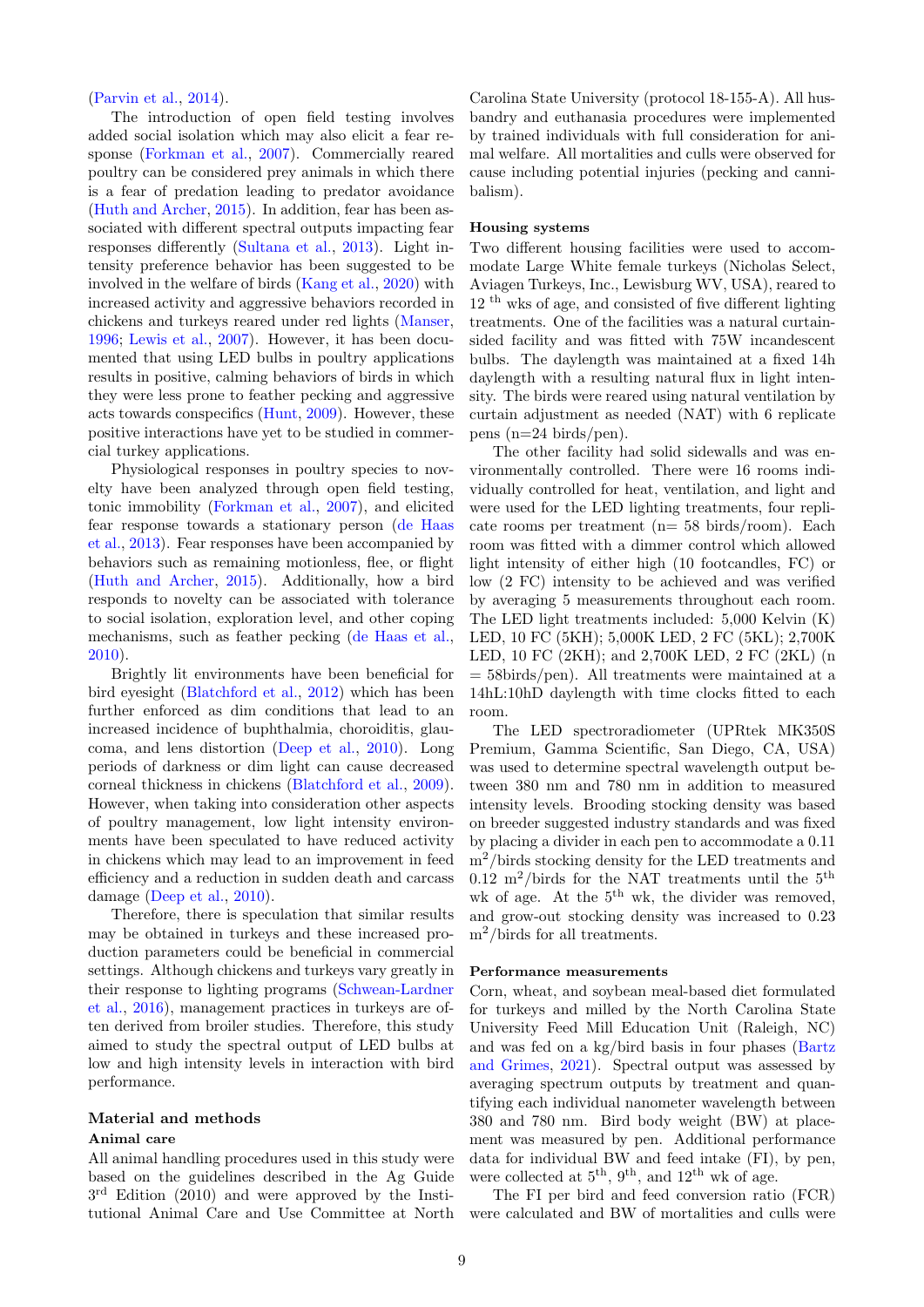[\(Parvin et al.,](#page-8-3) [2014\)](#page-8-3).

The introduction of open field testing involves added social isolation which may also elicit a fear response [\(Forkman et al.,](#page-7-3) [2007\)](#page-7-3). Commercially reared poultry can be considered prey animals in which there is a fear of predation leading to predator avoidance [\(Huth and Archer,](#page-7-1) [2015\)](#page-7-1). In addition, fear has been associated with different spectral outputs impacting fear responses differently [\(Sultana et al.,](#page-8-4) [2013\)](#page-8-4). Light intensity preference behavior has been suggested to be involved in the welfare of birds [\(Kang et al.,](#page-7-4) [2020\)](#page-7-4) with increased activity and aggressive behaviors recorded in chickens and turkeys reared under red lights [\(Manser,](#page-8-5) [1996;](#page-8-5) [Lewis et al.,](#page-8-6) [2007\)](#page-8-6). However, it has been documented that using LED bulbs in poultry applications results in positive, calming behaviors of birds in which they were less prone to feather pecking and aggressive acts towards conspecifics [\(Hunt,](#page-7-5) [2009\)](#page-7-5). However, these positive interactions have yet to be studied in commercial turkey applications.

Physiological responses in poultry species to novelty have been analyzed through open field testing, tonic immobility [\(Forkman et al.,](#page-7-3) [2007\)](#page-7-3), and elicited fear response towards a stationary person [\(de Haas](#page-7-6) [et al.,](#page-7-6) [2013\)](#page-7-6). Fear responses have been accompanied by behaviors such as remaining motionless, flee, or flight [\(Huth and Archer,](#page-7-1) [2015\)](#page-7-1). Additionally, how a bird responds to novelty can be associated with tolerance to social isolation, exploration level, and other coping mechanisms, such as feather pecking [\(de Haas et al.,](#page-7-7) [2010\)](#page-7-7).

Brightly lit environments have been beneficial for bird eyesight [\(Blatchford et al.,](#page-7-8) [2012\)](#page-7-8) which has been further enforced as dim conditions that lead to an increased incidence of buphthalmia, choroiditis, glaucoma, and lens distortion [\(Deep et al.,](#page-7-9) [2010\)](#page-7-9). Long periods of darkness or dim light can cause decreased corneal thickness in chickens [\(Blatchford et al.,](#page-7-10) [2009\)](#page-7-10). However, when taking into consideration other aspects of poultry management, low light intensity environments have been speculated to have reduced activity in chickens which may lead to an improvement in feed efficiency and a reduction in sudden death and carcass damage [\(Deep et al.,](#page-7-9) [2010\)](#page-7-9).

Therefore, there is speculation that similar results may be obtained in turkeys and these increased production parameters could be beneficial in commercial settings. Although chickens and turkeys vary greatly in their response to lighting programs [\(Schwean-Lardner](#page-8-7) [et al.,](#page-8-7) [2016\)](#page-8-7), management practices in turkeys are often derived from broiler studies. Therefore, this study aimed to study the spectral output of LED bulbs at low and high intensity levels in interaction with bird performance.

# Material and methods

#### Animal care

All animal handling procedures used in this study were based on the guidelines described in the Ag Guide 3<sup>rd</sup> Edition (2010) and were approved by the Institutional Animal Care and Use Committee at North Carolina State University (protocol 18-155-A). All husbandry and euthanasia procedures were implemented by trained individuals with full consideration for animal welfare. All mortalities and culls were observed for cause including potential injuries (pecking and cannibalism).

# Housing systems

Two different housing facilities were used to accommodate Large White female turkeys (Nicholas Select, Aviagen Turkeys, Inc., Lewisburg WV, USA), reared to 12 th wks of age, and consisted of five different lighting treatments. One of the facilities was a natural curtainsided facility and was fitted with 75W incandescent bulbs. The daylength was maintained at a fixed 14h daylength with a resulting natural flux in light intensity. The birds were reared using natural ventilation by curtain adjustment as needed (NAT) with 6 replicate pens (n=24 birds/pen).

The other facility had solid sidewalls and was environmentally controlled. There were 16 rooms individually controlled for heat, ventilation, and light and were used for the LED lighting treatments, four replicate rooms per treatment (n= 58 birds/room). Each room was fitted with a dimmer control which allowed light intensity of either high (10 footcandles, FC) or low (2 FC) intensity to be achieved and was verified by averaging 5 measurements throughout each room. The LED light treatments included: 5,000 Kelvin (K) LED, 10 FC (5KH); 5,000K LED, 2 FC (5KL); 2,700K LED, 10 FC (2KH); and 2,700K LED, 2 FC (2KL) (n  $=$  58birds/pen). All treatments were maintained at a 14hL:10hD daylength with time clocks fitted to each room.

The LED spectroradiometer (UPRtek MK350S Premium, Gamma Scientific, San Diego, CA, USA) was used to determine spectral wavelength output between 380 nm and 780 nm in addition to measured intensity levels. Brooding stocking density was based on breeder suggested industry standards and was fixed by placing a divider in each pen to accommodate a 0.11 m2/birds stocking density for the LED treatments and 0.12 m<sup>2</sup>/birds for the NAT treatments until the  $5^{\text{th}}$ wk of age. At the  $5<sup>th</sup>$  wk, the divider was removed, and grow-out stocking density was increased to 0.23 m<sup>2</sup>/birds for all treatments.

#### Performance measurements

Corn, wheat, and soybean meal-based diet formulated for turkeys and milled by the North Carolina State University Feed Mill Education Unit (Raleigh, NC) and was fed on a kg/bird basis in four phases [\(Bartz](#page-7-11) [and Grimes,](#page-7-11) [2021\)](#page-7-11). Spectral output was assessed by averaging spectrum outputs by treatment and quantifying each individual nanometer wavelength between 380 and 780 nm. Bird body weight (BW) at placement was measured by pen. Additional performance data for individual BW and feed intake (FI), by pen, were collected at  $5<sup>th</sup>$ ,  $9<sup>th</sup>$ , and  $12<sup>th</sup>$  wk of age.

The FI per bird and feed conversion ratio (FCR) were calculated and BW of mortalities and culls were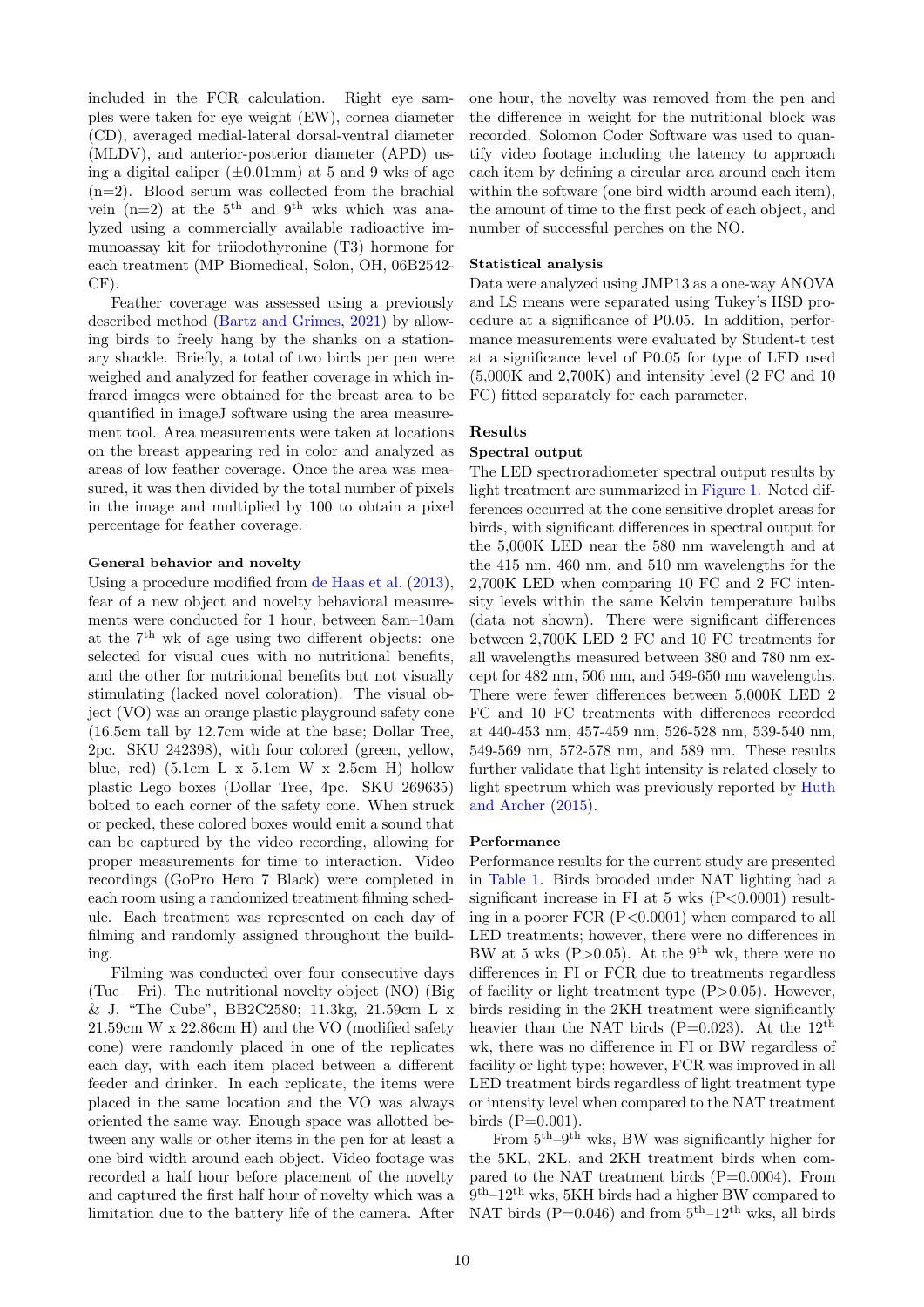included in the FCR calculation. Right eye samples were taken for eye weight (EW), cornea diameter (CD), averaged medial-lateral dorsal-ventral diameter (MLDV), and anterior-posterior diameter (APD) using a digital caliper  $(\pm 0.01 \text{mm})$  at 5 and 9 wks of age (n=2). Blood serum was collected from the brachial vein  $(n=2)$  at the 5<sup>th</sup> and 9<sup>th</sup> wks which was analyzed using a commercially available radioactive immunoassay kit for triiodothyronine (T3) hormone for each treatment (MP Biomedical, Solon, OH, 06B2542- CF).

Feather coverage was assessed using a previously described method [\(Bartz and Grimes,](#page-7-11) [2021\)](#page-7-11) by allowing birds to freely hang by the shanks on a stationary shackle. Briefly, a total of two birds per pen were weighed and analyzed for feather coverage in which infrared images were obtained for the breast area to be quantified in imageJ software using the area measurement tool. Area measurements were taken at locations on the breast appearing red in color and analyzed as areas of low feather coverage. Once the area was measured, it was then divided by the total number of pixels in the image and multiplied by 100 to obtain a pixel percentage for feather coverage.

### General behavior and novelty

Using a procedure modified from [de Haas et al.](#page-7-6) [\(2013\)](#page-7-6), fear of a new object and novelty behavioral measurements were conducted for 1 hour, between 8am–10am at the  $7<sup>th</sup>$  wk of age using two different objects: one selected for visual cues with no nutritional benefits, and the other for nutritional benefits but not visually stimulating (lacked novel coloration). The visual object (VO) was an orange plastic playground safety cone (16.5cm tall by 12.7cm wide at the base; Dollar Tree, 2pc. SKU 242398), with four colored (green, yellow, blue, red)  $(5.1cm L x 5.1cm W x 2.5cm H)$  hollow plastic Lego boxes (Dollar Tree, 4pc. SKU 269635) bolted to each corner of the safety cone. When struck or pecked, these colored boxes would emit a sound that can be captured by the video recording, allowing for proper measurements for time to interaction. Video recordings (GoPro Hero 7 Black) were completed in each room using a randomized treatment filming schedule. Each treatment was represented on each day of filming and randomly assigned throughout the building.

Filming was conducted over four consecutive days (Tue – Fri). The nutritional novelty object (NO) (Big & J, "The Cube", BB2C2580; 11.3kg, 21.59cm L x 21.59cm W x 22.86cm H) and the VO (modified safety cone) were randomly placed in one of the replicates each day, with each item placed between a different feeder and drinker. In each replicate, the items were placed in the same location and the VO was always oriented the same way. Enough space was allotted between any walls or other items in the pen for at least a one bird width around each object. Video footage was recorded a half hour before placement of the novelty and captured the first half hour of novelty which was a limitation due to the battery life of the camera. After

one hour, the novelty was removed from the pen and the difference in weight for the nutritional block was recorded. Solomon Coder Software was used to quantify video footage including the latency to approach each item by defining a circular area around each item within the software (one bird width around each item), the amount of time to the first peck of each object, and number of successful perches on the NO.

#### Statistical analysis

Data were analyzed using JMP13 as a one-way ANOVA and LS means were separated using Tukey's HSD procedure at a significance of P0.05. In addition, performance measurements were evaluated by Student-t test at a significance level of P0.05 for type of LED used (5,000K and 2,700K) and intensity level (2 FC and 10 FC) fitted separately for each parameter.

# Results

# Spectral output

The LED spectroradiometer spectral output results by light treatment are summarized in [Figure 1.](#page-3-0) Noted differences occurred at the cone sensitive droplet areas for birds, with significant differences in spectral output for the 5,000K LED near the 580 nm wavelength and at the 415 nm, 460 nm, and 510 nm wavelengths for the 2,700K LED when comparing 10 FC and 2 FC intensity levels within the same Kelvin temperature bulbs (data not shown). There were significant differences between 2,700K LED 2 FC and 10 FC treatments for all wavelengths measured between 380 and 780 nm except for 482 nm, 506 nm, and 549-650 nm wavelengths. There were fewer differences between 5,000K LED 2 FC and 10 FC treatments with differences recorded at 440-453 nm, 457-459 nm, 526-528 nm, 539-540 nm, 549-569 nm, 572-578 nm, and 589 nm. These results further validate that light intensity is related closely to light spectrum which was previously reported by [Huth](#page-7-1) [and Archer](#page-7-1) [\(2015\)](#page-7-1).

# Performance

Performance results for the current study are presented in [Table 1.](#page-3-1) Birds brooded under NAT lighting had a significant increase in FI at  $5 \text{ wks}$  (P $< 0.0001$ ) resulting in a poorer FCR (P<0.0001) when compared to all LED treatments; however, there were no differences in BW at 5 wks (P $>0.05$ ). At the 9<sup>th</sup> wk, there were no differences in FI or FCR due to treatments regardless of facility or light treatment type  $(P>0.05)$ . However, birds residing in the 2KH treatment were significantly heavier than the NAT birds  $(P=0.023)$ . At the 12<sup>th</sup> wk, there was no difference in FI or BW regardless of facility or light type; however, FCR was improved in all LED treatment birds regardless of light treatment type or intensity level when compared to the NAT treatment birds  $(P=0.001)$ .

From  $5<sup>th</sup>-9<sup>th</sup>$  wks, BW was significantly higher for the 5KL, 2KL, and 2KH treatment birds when compared to the NAT treatment birds (P=0.0004). From 9 th–12th wks, 5KH birds had a higher BW compared to NAT birds (P=0.046) and from  $5^{\text{th}}-12^{\text{th}}$  wks, all birds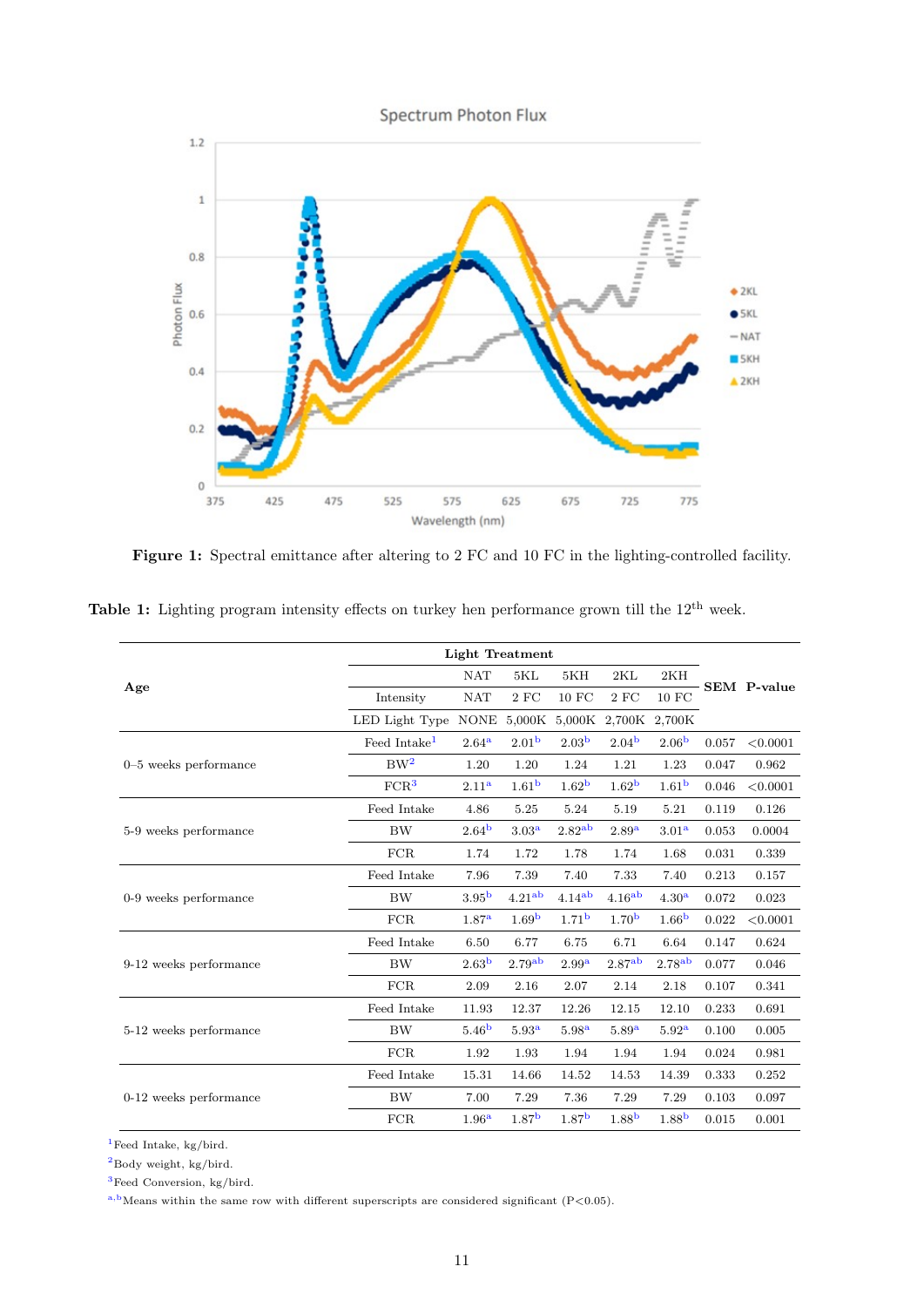<span id="page-3-0"></span>

Figure 1: Spectral emittance after altering to 2 FC and 10 FC in the lighting-controlled facility.

|                         | <b>Light Treatment</b>   |                   |                    |                    |                    |                    |       |                    |
|-------------------------|--------------------------|-------------------|--------------------|--------------------|--------------------|--------------------|-------|--------------------|
|                         |                          | <b>NAT</b><br>5KL |                    | 5KH                | 2KL                | 2KH                |       | <b>SEM</b> P-value |
| Age                     | Intensity                | <b>NAT</b>        | $2$ FC             | 10 FC              | $2$ FC             | 10 FC              |       |                    |
|                         | LED Light Type           | <b>NONE</b>       | 5,000K             | 5,000K             | 2,700K             | 2,700K             |       |                    |
|                         | Feed Intake <sup>1</sup> | 2.64 <sup>a</sup> | 2.01 <sup>b</sup>  | 2.03 <sup>b</sup>  | 2.04 <sup>b</sup>  | 2.06 <sup>b</sup>  | 0.057 | < 0.0001           |
| $0-5$ weeks performance | BW <sup>2</sup>          | 1.20              | 1.20               | 1.24               | 1.21               | 1.23               | 0.047 | 0.962              |
|                         | FCR <sup>3</sup>         | 2.11 <sup>a</sup> | 1.61 <sup>b</sup>  | 1.62 <sup>b</sup>  | 1.62 <sup>b</sup>  | 1.61 <sup>b</sup>  | 0.046 | < 0.0001           |
|                         | Feed Intake              | 4.86              | 5.25               | 5.24               | 5.19               | 5.21               | 0.119 | 0.126              |
| 5-9 weeks performance   | <b>BW</b>                | 2.64 <sup>b</sup> | 3.03 <sup>a</sup>  | 2.82 <sup>ab</sup> | 2.89 <sup>a</sup>  | 3.01 <sup>a</sup>  | 0.053 | 0.0004             |
|                         | FCR                      | 1.74              | 1.72               | 1.78               | 1.74               | 1.68               | 0.031 | 0.339              |
|                         | Feed Intake              | 7.96              | 7.39               | 7.40               | 7.33               | 7.40               | 0.213 | 0.157              |
| 0-9 weeks performance   | <b>BW</b>                | 3.95 <sup>b</sup> | 4.21 <sup>ab</sup> | 4.14 <sup>ab</sup> | 4.16 <sup>ab</sup> | 4.30 <sup>a</sup>  | 0.072 | 0.023              |
|                         | FCR                      | 1.87 <sup>a</sup> | 1.69 <sup>b</sup>  | 1.71 <sup>b</sup>  | 1.70 <sup>b</sup>  | 1.66 <sup>b</sup>  | 0.022 | < 0.0001           |
|                         | Feed Intake              | 6.50              | 6.77               | 6.75               | 6.71               | 6.64               | 0.147 | 0.624              |
| 9-12 weeks performance  | <b>BW</b>                | 2.63 <sup>b</sup> | 2.79 <sup>ab</sup> | 2.99 <sup>a</sup>  | 2.87 <sup>ab</sup> | 2.78 <sup>ab</sup> | 0.077 | 0.046              |
|                         | FCR                      | 2.09              | 2.16               | 2.07               | 2.14               | 2.18               | 0.107 | 0.341              |
|                         | Feed Intake              | 11.93             | 12.37              | 12.26              | 12.15              | 12.10              | 0.233 | 0.691              |
| 5-12 weeks performance  | <b>BW</b>                | 5.46 <sup>b</sup> | 5.93 <sup>a</sup>  | 5.98 <sup>a</sup>  | 5.89 <sup>a</sup>  | 5.92 <sup>a</sup>  | 0.100 | 0.005              |
|                         | FCR                      | 1.92              | 1.93               | 1.94               | 1.94               | 1.94               | 0.024 | 0.981              |
|                         | Feed Intake              | 15.31             | 14.66              | 14.52              | 14.53              | 14.39              | 0.333 | 0.252              |
| 0-12 weeks performance  | <b>BW</b>                | 7.00              | 7.29               | 7.36               | 7.29               | 7.29               | 0.103 | 0.097              |
|                         | FCR                      | 1.96 <sup>a</sup> | 1.87 <sup>b</sup>  | 1.87 <sup>b</sup>  | 1.88 <sup>b</sup>  | 1.88 <sup>b</sup>  | 0.015 | 0.001              |

<span id="page-3-1"></span>Table 1: Lighting program intensity effects on turkey hen performance grown till the  $12<sup>th</sup>$  week.

 $^1\rm{Feed}$  Intake, kg/bird.

<sup>2</sup>Body weight, kg/bird.

<sup>3</sup>Feed Conversion, kg/bird.

 $^{\mathrm{a,b}}$  Means within the same row with different superscripts are considered significant (P<0.05).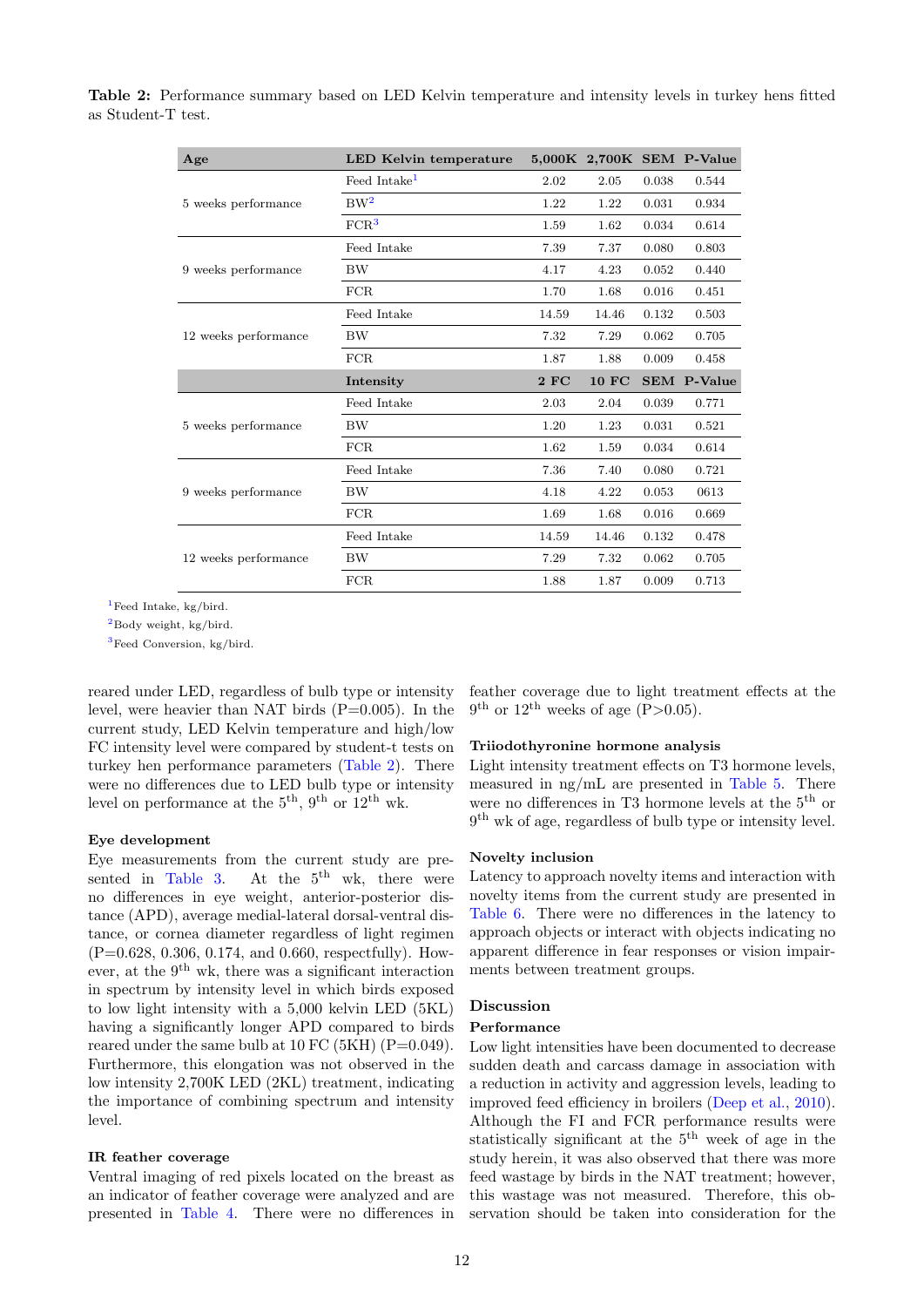| Age                  | LED Kelvin temperature   |       |              |       | 5,000K 2,700K SEM P-Value |
|----------------------|--------------------------|-------|--------------|-------|---------------------------|
|                      | Feed Intake <sup>1</sup> | 2.02  | 2.05         | 0.038 | 0.544                     |
| 5 weeks performance  | $BW^2$                   | 1.22  | 1.22         | 0.031 | 0.934                     |
|                      | FCR <sup>3</sup>         | 1.59  | 1.62         | 0.034 | 0.614                     |
|                      | Feed Intake              | 7.39  | 7.37         | 0.080 | 0.803                     |
| 9 weeks performance  | BW                       | 4.17  | 4.23         | 0.052 | 0.440                     |
|                      | FCR                      | 1.70  | 1.68         | 0.016 | 0.451                     |
|                      | Feed Intake              | 14.59 | 14.46        | 0.132 | 0.503                     |
| 12 weeks performance | <b>BW</b>                | 7.32  | 7.29         | 0.062 | 0.705                     |
|                      | FCR                      | 1.87  | 1.88         | 0.009 | 0.458                     |
|                      |                          |       |              |       |                           |
|                      | Intensity                | 2FC   | <b>10 FC</b> |       | <b>SEM P-Value</b>        |
|                      | Feed Intake              | 2.03  | 2.04         | 0.039 | 0.771                     |
| 5 weeks performance  | BW                       | 1.20  | 1.23         | 0.031 | 0.521                     |
|                      | FCR                      | 1.62  | 1.59         | 0.034 | 0.614                     |
|                      | Feed Intake              | 7.36  | 7.40         | 0.080 | 0.721                     |
| 9 weeks performance  | BW                       | 4.18  | 4.22         | 0.053 | 0613                      |
|                      | FCR                      | 1.69  | 1.68         | 0.016 | 0.669                     |
|                      | Feed Intake              | 14.59 | 14.46        | 0.132 | 0.478                     |
| 12 weeks performance | <b>BW</b>                | 7.29  | 7.32         | 0.062 | 0.705                     |

<span id="page-4-0"></span>Table 2: Performance summary based on LED Kelvin temperature and intensity levels in turkey hens fitted as Student-T test.

<sup>1</sup>Feed Intake, kg/bird.

<sup>2</sup>Body weight, kg/bird.

<sup>3</sup>Feed Conversion, kg/bird.

reared under LED, regardless of bulb type or intensity level, were heavier than NAT birds  $(P=0.005)$ . In the current study, LED Kelvin temperature and high/low FC intensity level were compared by student-t tests on turkey hen performance parameters [\(Table 2\)](#page-4-0). There were no differences due to LED bulb type or intensity level on performance at the  $5<sup>th</sup>$ ,  $9<sup>th</sup>$  or  $12<sup>th</sup>$  wk.

# Eye development

Eye measurements from the current study are pre-sented in [Table 3.](#page-5-0) At the  $5<sup>th</sup>$  wk, there were no differences in eye weight, anterior-posterior distance (APD), average medial-lateral dorsal-ventral distance, or cornea diameter regardless of light regimen (P=0.628, 0.306, 0.174, and 0.660, respectfully). However, at the  $9^{th}$  wk, there was a significant interaction in spectrum by intensity level in which birds exposed to low light intensity with a 5,000 kelvin LED (5KL) having a significantly longer APD compared to birds reared under the same bulb at 10 FC (5KH) ( $P=0.049$ ). Furthermore, this elongation was not observed in the low intensity 2,700K LED (2KL) treatment, indicating the importance of combining spectrum and intensity level.

#### IR feather coverage

Ventral imaging of red pixels located on the breast as an indicator of feather coverage were analyzed and are presented in [Table 4.](#page-5-1) There were no differences in feather coverage due to light treatment effects at the  $9<sup>th</sup>$  or  $12<sup>th</sup>$  weeks of age (P>0.05).

#### Triiodothyronine hormone analysis

Light intensity treatment effects on T3 hormone levels, measured in ng/mL are presented in [Table 5.](#page-5-2) There were no differences in T3 hormone levels at the 5th or 9 th wk of age, regardless of bulb type or intensity level.

#### Novelty inclusion

Latency to approach novelty items and interaction with novelty items from the current study are presented in [Table 6.](#page-6-0) There were no differences in the latency to approach objects or interact with objects indicating no apparent difference in fear responses or vision impairments between treatment groups.

#### Discussion

#### Performance

Low light intensities have been documented to decrease sudden death and carcass damage in association with a reduction in activity and aggression levels, leading to improved feed efficiency in broilers [\(Deep et al.,](#page-7-9) [2010\)](#page-7-9). Although the FI and FCR performance results were statistically significant at the 5th week of age in the study herein, it was also observed that there was more feed wastage by birds in the NAT treatment; however, this wastage was not measured. Therefore, this observation should be taken into consideration for the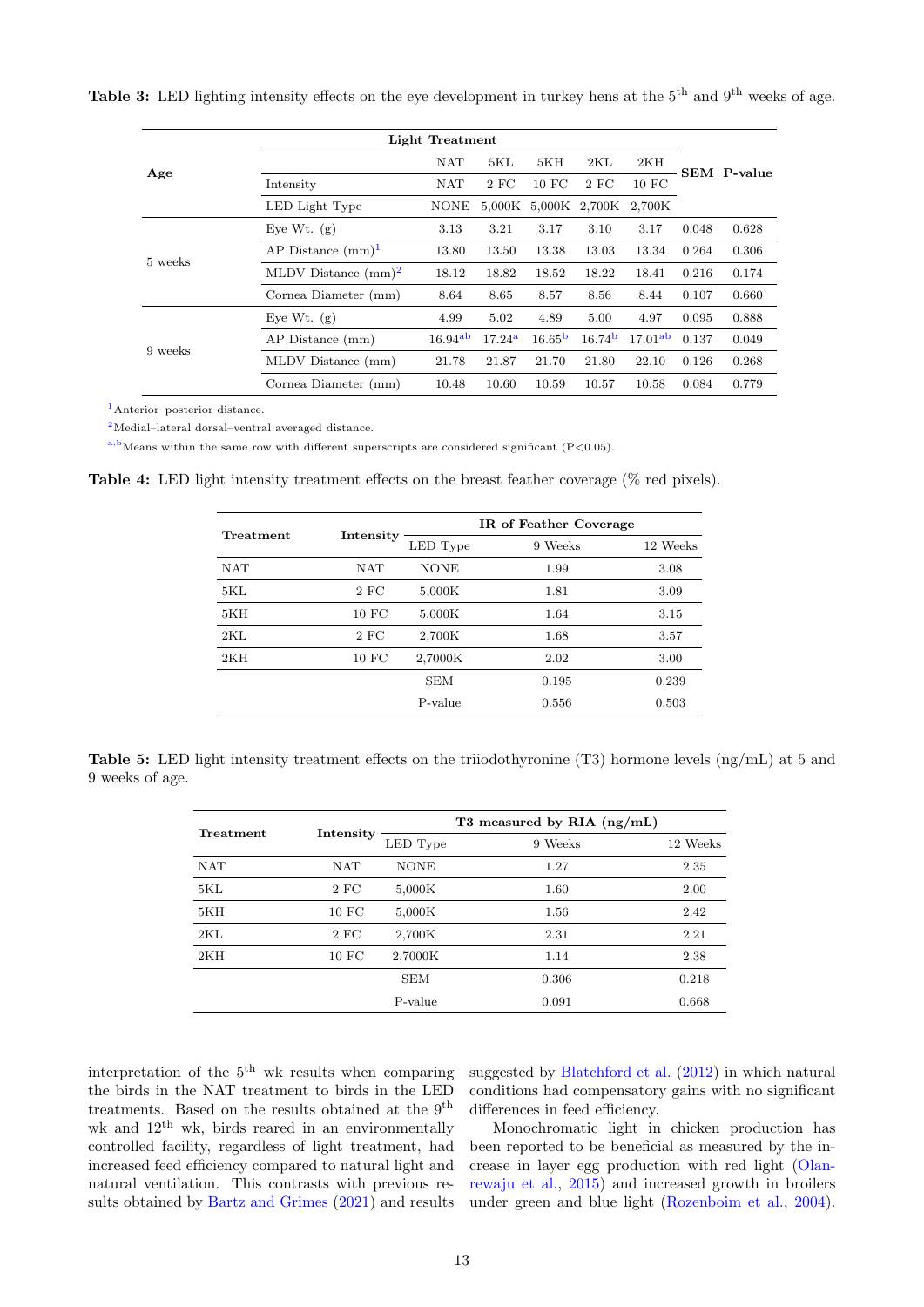<span id="page-5-0"></span>

|  | <b>Table 3:</b> LED lighting intensity effects on the eye development in turkey hens at the $5th$ and $9th$ weeks of age. |  |  |  |  |  |  |  |  |  |
|--|---------------------------------------------------------------------------------------------------------------------------|--|--|--|--|--|--|--|--|--|
|--|---------------------------------------------------------------------------------------------------------------------------|--|--|--|--|--|--|--|--|--|

|         | Light Treatment        |                     |                 |                             |                    |                     |       |                    |
|---------|------------------------|---------------------|-----------------|-----------------------------|--------------------|---------------------|-------|--------------------|
| Age     |                        | <b>NAT</b>          | 5KL             | 5KH                         | 2KL                | 2KH                 |       | <b>SEM</b> P-value |
|         | Intensity              | <b>NAT</b>          | 2 F C           | $10$ FC                     | $2$ FC             | 10 FC               |       |                    |
|         | LED Light Type         | <b>NONE</b>         |                 | 5,000K 5,000K 2,700K 2,700K |                    |                     |       |                    |
|         | Eye Wt. $(g)$          | 3.13                | 3.21            | 3.17                        | 3.10               | 3.17                | 0.048 | 0.628              |
|         | AP Distance $(mm)^1$   | 13.80               | 13.50           | 13.38                       | 13.03              | 13.34               | 0.264 | 0.306              |
| 5 weeks | MLDV Distance $(mm)^2$ | 18.12               | 18.82           | 18.52                       | 18.22              | 18.41               | 0.216 | 0.174              |
|         | Cornea Diameter (mm)   | 8.64                | 8.65            | 8.57                        | 8.56               | 8.44                | 0.107 | 0.660              |
|         | Eye Wt. $(g)$          | 4.99                | 5.02            | 4.89                        | 5.00               | 4.97                | 0.095 | 0.888              |
| 9 weeks | AP Distance (mm)       | 16.94 <sup>ab</sup> | $17.24^{\rm a}$ | 16.65 <sup>b</sup>          | 16.74 <sup>b</sup> | 17.01 <sup>ab</sup> | 0.137 | 0.049              |
|         | MLDV Distance (mm)     | 21.78               | 21.87           | 21.70                       | 21.80              | 22.10               | 0.126 | 0.268              |
|         | Cornea Diameter (mm)   | 10.48               | 10.60           | 10.59                       | 10.57              | 10.58               | 0.084 | 0.779              |

<sup>1</sup>Anterior–posterior distance.

<sup>2</sup>Medial–lateral dorsal–ventral averaged distance.

 $a,b$  Means within the same row with different superscripts are considered significant (P<0.05).

<span id="page-5-1"></span>Table 4: LED light intensity treatment effects on the breast feather coverage (% red pixels).

| Treatment  |                   | IR of Feather Coverage |            |          |
|------------|-------------------|------------------------|------------|----------|
|            | Intensity         | LED Type               | Weeks<br>9 | 12 Weeks |
| <b>NAT</b> | <b>NAT</b>        | <b>NONE</b>            | 1.99       | 3.08     |
| 5KL        | 2 FC              | 5,000K                 | 1.81       | 3.09     |
| 5KH        | 10 FC             | 5,000K                 | 1.64       | 3.15     |
| 2KL        | 2 FC              | 2,700K                 | 1.68       | 3.57     |
| 2KH        | 10 F <sub>C</sub> | 2,7000K                | 2.02       | 3.00     |
|            |                   | <b>SEM</b>             | 0.195      | 0.239    |
|            |                   | P-value                | 0.556      | 0.503    |

<span id="page-5-2"></span>

|                 |  |  |  | <b>Table 5:</b> LED light intensity treatment effects on the triiodothyronine (T3) hormone levels $(ng/mL)$ at 5 and |  |  |  |  |
|-----------------|--|--|--|----------------------------------------------------------------------------------------------------------------------|--|--|--|--|
| 9 weeks of age. |  |  |  |                                                                                                                      |  |  |  |  |

| Treatment  | Intensity |             | T3 measured by RIA $(ng/mL)$ |          |
|------------|-----------|-------------|------------------------------|----------|
|            |           | LED Type    | 9 Weeks                      | 12 Weeks |
| <b>NAT</b> | NAT       | <b>NONE</b> | 1.27                         | 2.35     |
| 5KL        | 2 FC      | 5,000K      | 1.60                         | 2.00     |
| 5KH        | 10 FC     | 5,000K      | 1.56                         | 2.42     |
| 2KL        | 2 FC      | 2,700K      | 2.31                         | 2.21     |
| 2KH        | 10 FC     | 2,7000K     | 1.14                         | 2.38     |
|            |           | <b>SEM</b>  | 0.306                        | 0.218    |
|            |           | P-value     | 0.091                        | 0.668    |

interpretation of the  $5^{\rm th}$  wk results when comparing the birds in the NAT treatment to birds in the LED treatments. Based on the results obtained at the 9<sup>th</sup> wk and  $12<sup>th</sup>$  wk, birds reared in an environmentally controlled facility, regardless of light treatment, had increased feed efficiency compared to natural light and natural ventilation. This contrasts with previous results obtained by [Bartz and Grimes](#page-7-11) [\(2021\)](#page-7-11) and results

suggested by [Blatchford et al.](#page-7-8) [\(2012\)](#page-7-8) in which natural conditions had compensatory gains with no significant differences in feed efficiency.

Monochromatic light in chicken production has been reported to be beneficial as measured by the increase in layer egg production with red light [\(Olan](#page-8-8)[rewaju et al.,](#page-8-8) [2015\)](#page-8-8) and increased growth in broilers under green and blue light [\(Rozenboim et al.,](#page-8-2) [2004\)](#page-8-2).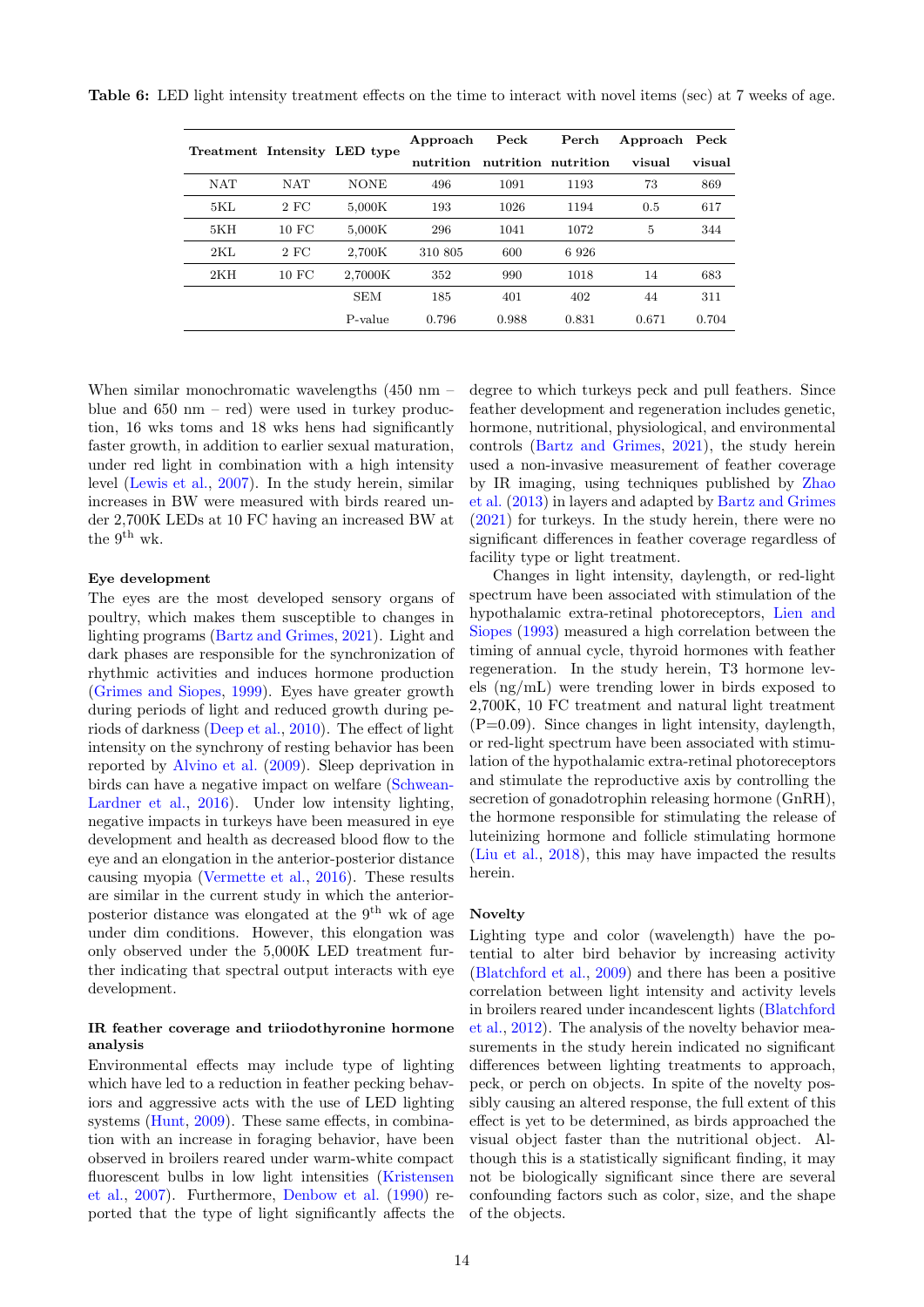<span id="page-6-0"></span>

|            |                   | Treatment Intensity LED type | Approach  | Peck  | Perch               | Approach | $\operatorname{Peck}$ |
|------------|-------------------|------------------------------|-----------|-------|---------------------|----------|-----------------------|
|            |                   |                              | nutrition |       | nutrition nutrition | visual   | visual                |
| <b>NAT</b> | <b>NAT</b>        | <b>NONE</b>                  | 496       | 1091  | 1193                | 73       | 869                   |
| 5KL        | 2 FC              | 5,000K                       | 193       | 1026  | 1194                | 0.5      | 617                   |
| 5KH        | $10$ FC           | 5,000K                       | 296       | 1041  | 1072                | 5        | 344                   |
| 2KL        | 2 FC              | 2.700K                       | 310 805   | 600   | 6926                |          |                       |
| 2KH        | 10 F <sub>C</sub> | 2.7000K                      | 352       | 990   | 1018                | 14       | 683                   |
|            |                   | <b>SEM</b>                   | 185       | 401   | 402                 | 44       | 311                   |
|            |                   | P-value                      | 0.796     | 0.988 | 0.831               | 0.671    | 0.704                 |

When similar monochromatic wavelengths  $(450 \text{ nm}$ blue and  $650 \text{ nm}$  – red) were used in turkey production, 16 wks toms and 18 wks hens had significantly faster growth, in addition to earlier sexual maturation, under red light in combination with a high intensity level [\(Lewis et al.,](#page-8-6) [2007\)](#page-8-6). In the study herein, similar increases in BW were measured with birds reared under 2,700K LEDs at 10 FC having an increased BW at the 9<sup>th</sup> wk.

### Eye development

The eyes are the most developed sensory organs of poultry, which makes them susceptible to changes in lighting programs [\(Bartz and Grimes,](#page-7-11) [2021\)](#page-7-11). Light and dark phases are responsible for the synchronization of rhythmic activities and induces hormone production [\(Grimes and Siopes,](#page-7-12) [1999\)](#page-7-12). Eyes have greater growth during periods of light and reduced growth during periods of darkness [\(Deep et al.,](#page-7-9) [2010\)](#page-7-9). The effect of light intensity on the synchrony of resting behavior has been reported by [Alvino et al.](#page-7-13) [\(2009\)](#page-7-13). Sleep deprivation in birds can have a negative impact on welfare [\(Schwean-](#page-8-7)[Lardner et al.,](#page-8-7) [2016\)](#page-8-7). Under low intensity lighting, negative impacts in turkeys have been measured in eye development and health as decreased blood flow to the eye and an elongation in the anterior-posterior distance causing myopia [\(Vermette et al.,](#page-8-9) [2016\)](#page-8-9). These results are similar in the current study in which the anteriorposterior distance was elongated at the  $9<sup>th</sup>$  wk of age under dim conditions. However, this elongation was only observed under the 5,000K LED treatment further indicating that spectral output interacts with eye development.

# IR feather coverage and triiodothyronine hormone analysis

Environmental effects may include type of lighting which have led to a reduction in feather pecking behaviors and aggressive acts with the use of LED lighting systems [\(Hunt,](#page-7-5) [2009\)](#page-7-5). These same effects, in combination with an increase in foraging behavior, have been observed in broilers reared under warm-white compact fluorescent bulbs in low light intensities [\(Kristensen](#page-7-0) [et al.,](#page-7-0) [2007\)](#page-7-0). Furthermore, [Denbow et al.](#page-7-14) [\(1990\)](#page-7-14) reported that the type of light significantly affects the degree to which turkeys peck and pull feathers. Since feather development and regeneration includes genetic, hormone, nutritional, physiological, and environmental controls [\(Bartz and Grimes,](#page-7-11) [2021\)](#page-7-11), the study herein used a non-invasive measurement of feather coverage by IR imaging, using techniques published by [Zhao](#page-8-10) [et al.](#page-8-10) [\(2013\)](#page-8-10) in layers and adapted by [Bartz and Grimes](#page-7-11) [\(2021\)](#page-7-11) for turkeys. In the study herein, there were no significant differences in feather coverage regardless of facility type or light treatment.

Changes in light intensity, daylength, or red-light spectrum have been associated with stimulation of the hypothalamic extra-retinal photoreceptors, [Lien and](#page-8-11) [Siopes](#page-8-11) [\(1993\)](#page-8-11) measured a high correlation between the timing of annual cycle, thyroid hormones with feather regeneration. In the study herein, T3 hormone levels (ng/mL) were trending lower in birds exposed to 2,700K, 10 FC treatment and natural light treatment (P=0.09). Since changes in light intensity, daylength, or red-light spectrum have been associated with stimulation of the hypothalamic extra-retinal photoreceptors and stimulate the reproductive axis by controlling the secretion of gonadotrophin releasing hormone (GnRH), the hormone responsible for stimulating the release of luteinizing hormone and follicle stimulating hormone [\(Liu et al.,](#page-8-12) [2018\)](#page-8-12), this may have impacted the results herein.

### Novelty

Lighting type and color (wavelength) have the potential to alter bird behavior by increasing activity [\(Blatchford et al.,](#page-7-10) [2009\)](#page-7-10) and there has been a positive correlation between light intensity and activity levels in broilers reared under incandescent lights [\(Blatchford](#page-7-8) [et al.,](#page-7-8) [2012\)](#page-7-8). The analysis of the novelty behavior measurements in the study herein indicated no significant differences between lighting treatments to approach, peck, or perch on objects. In spite of the novelty possibly causing an altered response, the full extent of this effect is yet to be determined, as birds approached the visual object faster than the nutritional object. Although this is a statistically significant finding, it may not be biologically significant since there are several confounding factors such as color, size, and the shape of the objects.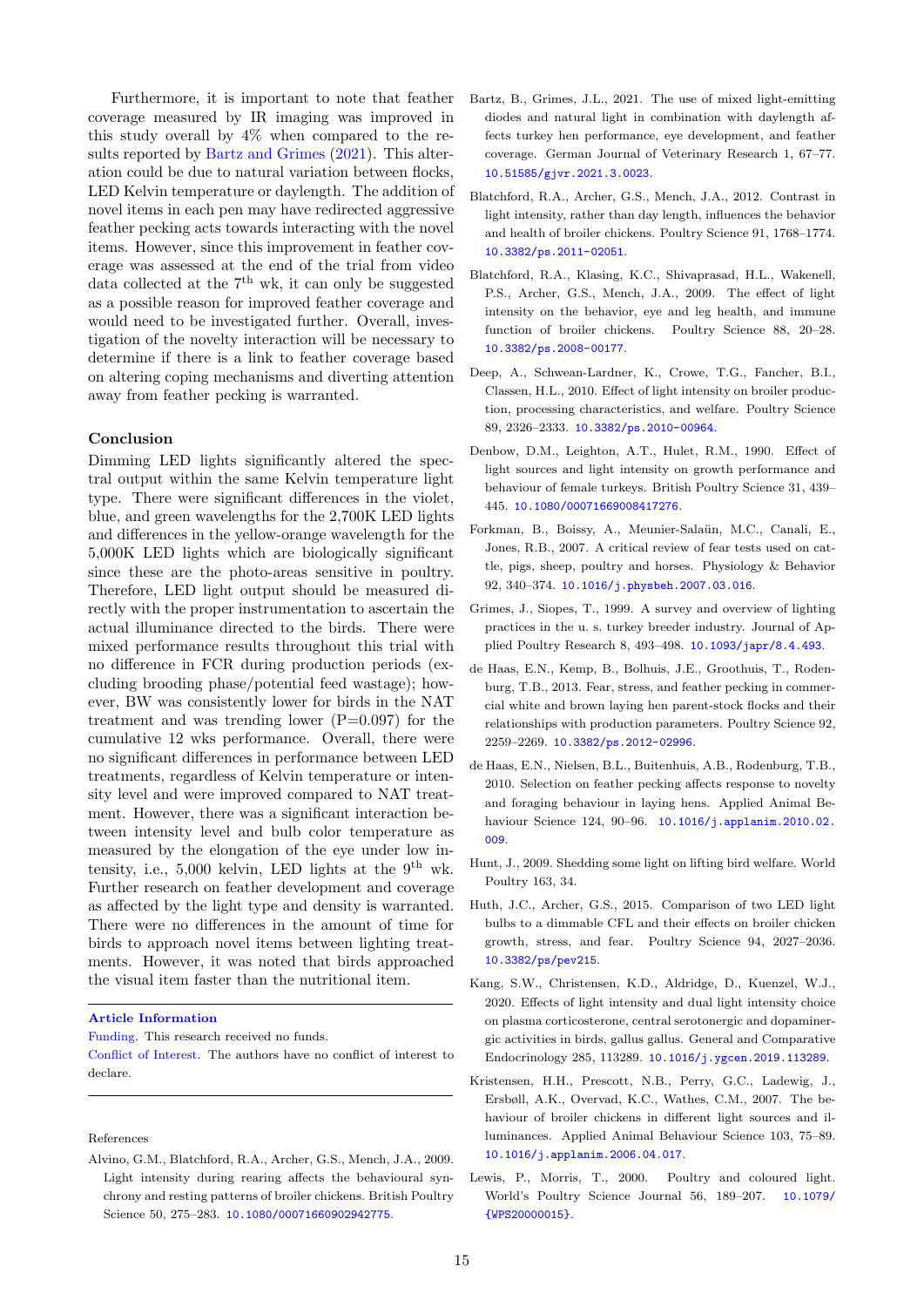Furthermore, it is important to note that feather coverage measured by IR imaging was improved in this study overall by 4% when compared to the results reported by [Bartz and Grimes](#page-7-11) [\(2021\)](#page-7-11). This alteration could be due to natural variation between flocks, LED Kelvin temperature or daylength. The addition of novel items in each pen may have redirected aggressive feather pecking acts towards interacting with the novel items. However, since this improvement in feather coverage was assessed at the end of the trial from video data collected at the  $7<sup>th</sup>$  wk, it can only be suggested as a possible reason for improved feather coverage and would need to be investigated further. Overall, investigation of the novelty interaction will be necessary to determine if there is a link to feather coverage based on altering coping mechanisms and diverting attention away from feather pecking is warranted.

## Conclusion

Dimming LED lights significantly altered the spectral output within the same Kelvin temperature light type. There were significant differences in the violet, blue, and green wavelengths for the 2,700K LED lights and differences in the yellow-orange wavelength for the 5,000K LED lights which are biologically significant since these are the photo-areas sensitive in poultry. Therefore, LED light output should be measured directly with the proper instrumentation to ascertain the actual illuminance directed to the birds. There were mixed performance results throughout this trial with no difference in FCR during production periods (excluding brooding phase/potential feed wastage); however, BW was consistently lower for birds in the NAT treatment and was trending lower  $(P=0.097)$  for the cumulative 12 wks performance. Overall, there were no significant differences in performance between LED treatments, regardless of Kelvin temperature or intensity level and were improved compared to NAT treatment. However, there was a significant interaction between intensity level and bulb color temperature as measured by the elongation of the eye under low intensity, i.e., 5,000 kelvin, LED lights at the  $9<sup>th</sup>$  wk. Further research on feather development and coverage as affected by the light type and density is warranted. There were no differences in the amount of time for birds to approach novel items between lighting treatments. However, it was noted that birds approached the visual item faster than the nutritional item.

#### Article Information

Funding. This research received no funds.

Conflict of Interest. The authors have no conflict of interest to declare.

References

<span id="page-7-13"></span>Alvino, G.M., Blatchford, R.A., Archer, G.S., Mench, J.A., 2009. Light intensity during rearing affects the behavioural synchrony and resting patterns of broiler chickens. British Poultry Science 50, 275–283. [10.1080/00071660902942775](http://dx.doi.org/10.1080/00071660902942775).

- <span id="page-7-11"></span>Bartz, B., Grimes, J.L., 2021. The use of mixed light-emitting diodes and natural light in combination with daylength affects turkey hen performance, eye development, and feather coverage. German Journal of Veterinary Research 1, 67–77. [10.51585/gjvr.2021.3.0023](http://dx.doi.org/10.51585/gjvr.2021.3.0023).
- <span id="page-7-8"></span>Blatchford, R.A., Archer, G.S., Mench, J.A., 2012. Contrast in light intensity, rather than day length, influences the behavior and health of broiler chickens. Poultry Science 91, 1768–1774. [10.3382/ps.2011-02051](http://dx.doi.org/10.3382/ps.2011-02051).
- <span id="page-7-10"></span>Blatchford, R.A., Klasing, K.C., Shivaprasad, H.L., Wakenell, P.S., Archer, G.S., Mench, J.A., 2009. The effect of light intensity on the behavior, eye and leg health, and immune function of broiler chickens. Poultry Science 88, 20–28. [10.3382/ps.2008-00177](http://dx.doi.org/10.3382/ps.2008-00177).
- <span id="page-7-9"></span>Deep, A., Schwean-Lardner, K., Crowe, T.G., Fancher, B.I., Classen, H.L., 2010. Effect of light intensity on broiler production, processing characteristics, and welfare. Poultry Science 89, 2326–2333. [10.3382/ps.2010-00964](http://dx.doi.org/10.3382/ps.2010-00964).
- <span id="page-7-14"></span>Denbow, D.M., Leighton, A.T., Hulet, R.M., 1990. Effect of light sources and light intensity on growth performance and behaviour of female turkeys. British Poultry Science 31, 439– 445. [10.1080/00071669008417276](http://dx.doi.org/10.1080/00071669008417276).
- <span id="page-7-3"></span>Forkman, B., Boissy, A., Meunier-Salaün, M.C., Canali, E., Jones, R.B., 2007. A critical review of fear tests used on cattle, pigs, sheep, poultry and horses. Physiology & Behavior 92, 340–374. [10.1016/j.physbeh.2007.03.016](http://dx.doi.org/10.1016/j.physbeh.2007.03.016).
- <span id="page-7-12"></span>Grimes, J., Siopes, T., 1999. A survey and overview of lighting practices in the u. s. turkey breeder industry. Journal of Applied Poultry Research 8, 493–498. [10.1093/japr/8.4.493](http://dx.doi.org/10.1093/japr/8.4.493).
- <span id="page-7-6"></span>de Haas, E.N., Kemp, B., Bolhuis, J.E., Groothuis, T., Rodenburg, T.B., 2013. Fear, stress, and feather pecking in commercial white and brown laying hen parent-stock flocks and their relationships with production parameters. Poultry Science 92, 2259–2269. [10.3382/ps.2012-02996](http://dx.doi.org/10.3382/ps.2012-02996).
- <span id="page-7-7"></span>de Haas, E.N., Nielsen, B.L., Buitenhuis, A.B., Rodenburg, T.B., 2010. Selection on feather pecking affects response to novelty and foraging behaviour in laying hens. Applied Animal Behaviour Science 124, 90–96. [10.1016/j.applanim.2010.02.](http://dx.doi.org/10.1016/j.applanim.2010.02.009) [009](http://dx.doi.org/10.1016/j.applanim.2010.02.009).
- <span id="page-7-5"></span>Hunt, J., 2009. Shedding some light on lifting bird welfare. World Poultry 163, 34.
- <span id="page-7-1"></span>Huth, J.C., Archer, G.S., 2015. Comparison of two LED light bulbs to a dimmable CFL and their effects on broiler chicken growth, stress, and fear. Poultry Science 94, 2027–2036. [10.3382/ps/pev215](http://dx.doi.org/10.3382/ps/pev215).
- <span id="page-7-4"></span>Kang, S.W., Christensen, K.D., Aldridge, D., Kuenzel, W.J., 2020. Effects of light intensity and dual light intensity choice on plasma corticosterone, central serotonergic and dopaminergic activities in birds, gallus gallus. General and Comparative Endocrinology 285, 113289. [10.1016/j.ygcen.2019.113289](http://dx.doi.org/10.1016/j.ygcen.2019.113289).
- <span id="page-7-0"></span>Kristensen, H.H., Prescott, N.B., Perry, G.C., Ladewig, J., Ersbøll, A.K., Overvad, K.C., Wathes, C.M., 2007. The behaviour of broiler chickens in different light sources and illuminances. Applied Animal Behaviour Science 103, 75–89. [10.1016/j.applanim.2006.04.017](http://dx.doi.org/10.1016/j.applanim.2006.04.017).
- <span id="page-7-2"></span>Lewis, P., Morris, T., 2000. Poultry and coloured light. World's Poultry Science Journal 56, 189–207. [10.1079/](http://dx.doi.org/10.1079/{WPS20000015}) [{WPS20000015}](http://dx.doi.org/10.1079/{WPS20000015}).